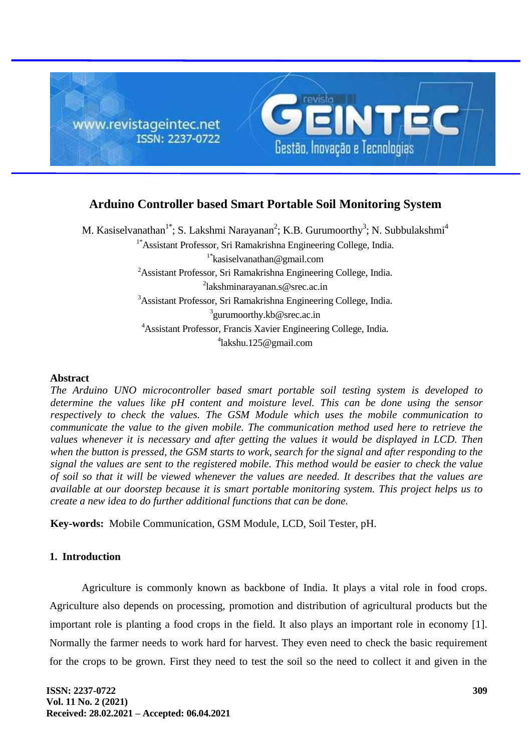

# **Arduino Controller based Smart Portable Soil Monitoring System**

M. Kasiselvanathan<sup>1\*</sup>; S. Lakshmi Narayanan<sup>2</sup>; K.B. Gurumoorthy<sup>3</sup>; N. Subbulakshmi<sup>4</sup> 1\*Assistant Professor, Sri Ramakrishna Engineering College, India. 1\*kasiselvanathan@gmail.com <sup>2</sup>Assistant Professor, Sri Ramakrishna Engineering College, India. <sup>2</sup>lakshminarayanan.s@srec.ac.in <sup>3</sup>Assistant Professor, Sri Ramakrishna Engineering College, India. <sup>3</sup> gurumoorthy.kb@srec.ac.in <sup>4</sup>Assistant Professor, Francis Xavier Engineering College, India. 4 lakshu.125@gmail.com

#### **Abstract**

*The Arduino UNO microcontroller based smart portable soil testing system is developed to determine the values like pH content and moisture level. This can be done using the sensor respectively to check the values. The GSM Module which uses the mobile communication to communicate the value to the given mobile. The communication method used here to retrieve the values whenever it is necessary and after getting the values it would be displayed in LCD. Then when the button is pressed, the GSM starts to work, search for the signal and after responding to the signal the values are sent to the registered mobile. This method would be easier to check the value of soil so that it will be viewed whenever the values are needed. It describes that the values are available at our doorstep because it is smart portable monitoring system. This project helps us to create a new idea to do further additional functions that can be done.*

**Key-words:** Mobile Communication, GSM Module, LCD, Soil Tester, pH.

### **1. Introduction**

Agriculture is commonly known as backbone of India. It plays a vital role in food crops. Agriculture also depends on processing, promotion and distribution of agricultural products but the important role is planting a food crops in the field. It also plays an important role in economy [1]. Normally the farmer needs to work hard for harvest. They even need to check the basic requirement for the crops to be grown. First they need to test the soil so the need to collect it and given in the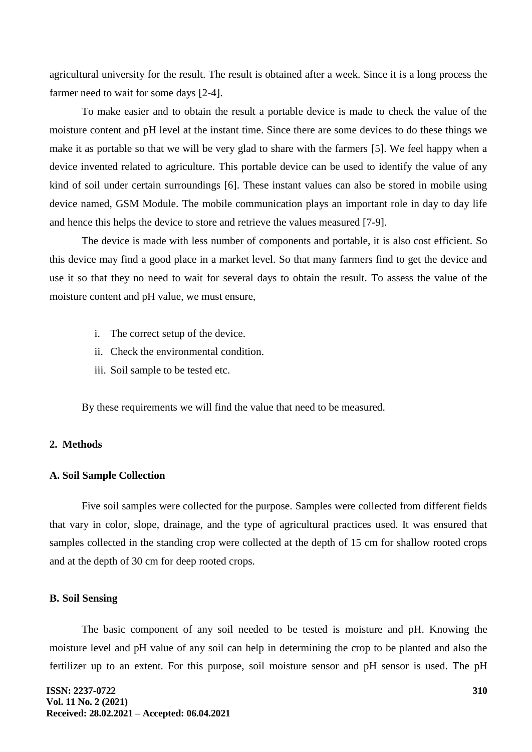agricultural university for the result. The result is obtained after a week. Since it is a long process the farmer need to wait for some days [2-4].

To make easier and to obtain the result a portable device is made to check the value of the moisture content and pH level at the instant time. Since there are some devices to do these things we make it as portable so that we will be very glad to share with the farmers [5]. We feel happy when a device invented related to agriculture. This portable device can be used to identify the value of any kind of soil under certain surroundings [6]. These instant values can also be stored in mobile using device named, GSM Module. The mobile communication plays an important role in day to day life and hence this helps the device to store and retrieve the values measured [7-9].

The device is made with less number of components and portable, it is also cost efficient. So this device may find a good place in a market level. So that many farmers find to get the device and use it so that they no need to wait for several days to obtain the result. To assess the value of the moisture content and pH value, we must ensure,

- i. The correct setup of the device.
- ii. Check the environmental condition.
- iii. Soil sample to be tested etc.

By these requirements we will find the value that need to be measured.

## **2. Methods**

#### **A. Soil Sample Collection**

Five soil samples were collected for the purpose. Samples were collected from different fields that vary in color, slope, drainage, and the type of agricultural practices used. It was ensured that samples collected in the standing crop were collected at the depth of 15 cm for shallow rooted crops and at the depth of 30 cm for deep rooted crops.

#### **B. Soil Sensing**

The basic component of any soil needed to be tested is moisture and pH. Knowing the moisture level and pH value of any soil can help in determining the crop to be planted and also the fertilizer up to an extent. For this purpose, soil moisture sensor and pH sensor is used. The pH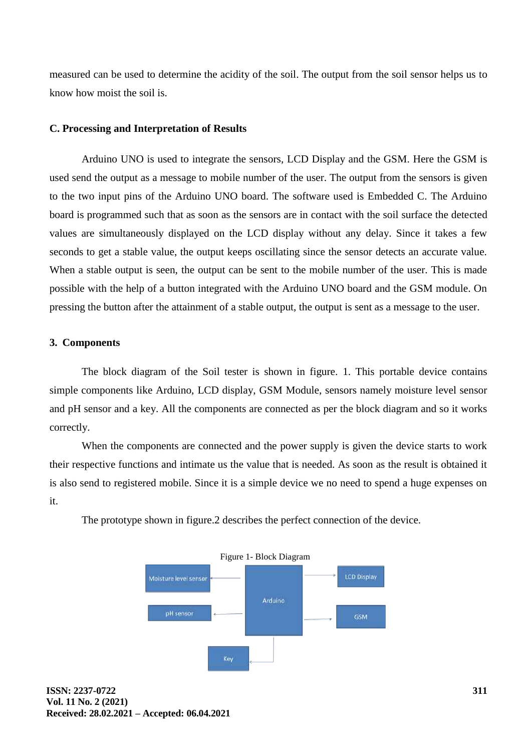measured can be used to determine the acidity of the soil. The output from the soil sensor helps us to know how moist the soil is.

### **C. Processing and Interpretation of Results**

Arduino UNO is used to integrate the sensors, LCD Display and the GSM. Here the GSM is used send the output as a message to mobile number of the user. The output from the sensors is given to the two input pins of the Arduino UNO board. The software used is Embedded C. The Arduino board is programmed such that as soon as the sensors are in contact with the soil surface the detected values are simultaneously displayed on the LCD display without any delay. Since it takes a few seconds to get a stable value, the output keeps oscillating since the sensor detects an accurate value. When a stable output is seen, the output can be sent to the mobile number of the user. This is made possible with the help of a button integrated with the Arduino UNO board and the GSM module. On pressing the button after the attainment of a stable output, the output is sent as a message to the user.

#### **3. Components**

The block diagram of the Soil tester is shown in figure. 1. This portable device contains simple components like Arduino, LCD display, GSM Module, sensors namely moisture level sensor and pH sensor and a key. All the components are connected as per the block diagram and so it works correctly.

When the components are connected and the power supply is given the device starts to work their respective functions and intimate us the value that is needed. As soon as the result is obtained it is also send to registered mobile. Since it is a simple device we no need to spend a huge expenses on it.

The prototype shown in figure.2 describes the perfect connection of the device.

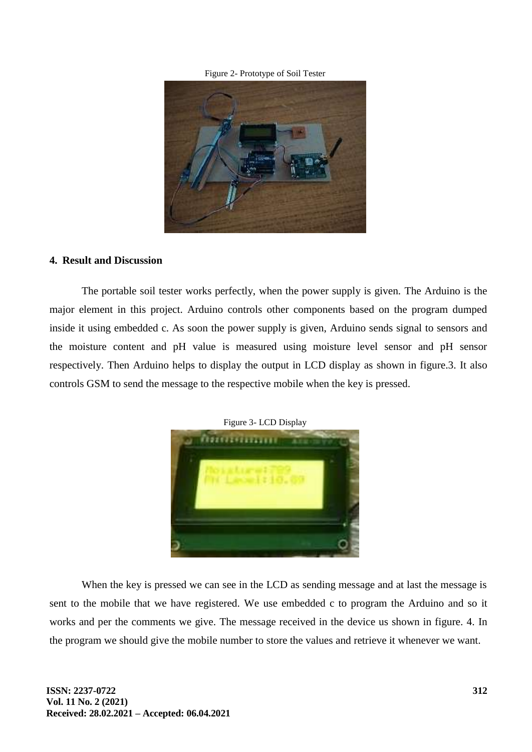Figure 2- Prototype of Soil Tester



#### **4. Result and Discussion**

The portable soil tester works perfectly, when the power supply is given. The Arduino is the major element in this project. Arduino controls other components based on the program dumped inside it using embedded c. As soon the power supply is given, Arduino sends signal to sensors and the moisture content and pH value is measured using moisture level sensor and pH sensor respectively. Then Arduino helps to display the output in LCD display as shown in figure.3. It also controls GSM to send the message to the respective mobile when the key is pressed.



Figure 3- LCD Display

When the key is pressed we can see in the LCD as sending message and at last the message is sent to the mobile that we have registered. We use embedded c to program the Arduino and so it works and per the comments we give. The message received in the device us shown in figure. 4. In the program we should give the mobile number to store the values and retrieve it whenever we want.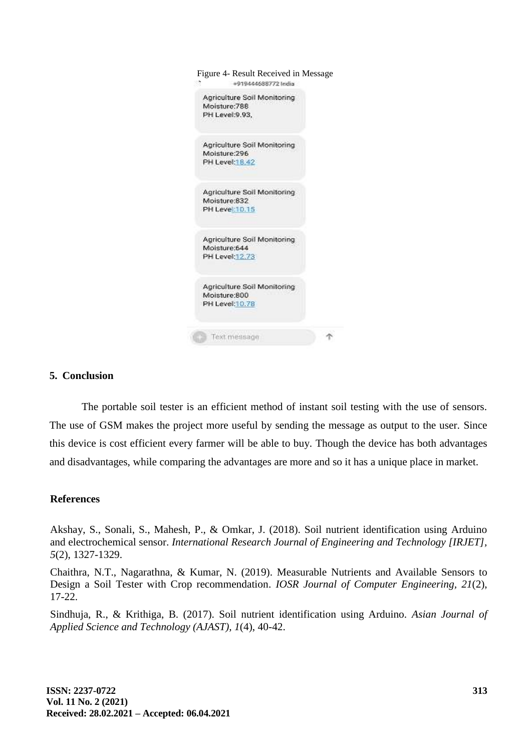| Figure 4- Result Received in Message<br>+919444688772 India    |  |
|----------------------------------------------------------------|--|
| Agriculture Soil Monitoring<br>Moisture:788<br>PH Level:9.93,  |  |
| Agriculture Soil Monitoring<br>Moisture:296<br>PH Level:18.42  |  |
| Agriculture Soil Monitoring<br>Moisture:832<br>PH Level:10.15  |  |
| Agriculture Soil Monitoring<br>Moisture:644<br>PH Level: 12.73 |  |
| Agriculture Soil Monitoring<br>Moisture:800<br>PH Level:10.78  |  |
| Text message                                                   |  |

# **5. Conclusion**

The portable soil tester is an efficient method of instant soil testing with the use of sensors. The use of GSM makes the project more useful by sending the message as output to the user. Since this device is cost efficient every farmer will be able to buy. Though the device has both advantages and disadvantages, while comparing the advantages are more and so it has a unique place in market.

### **References**

Akshay, S., Sonali, S., Mahesh, P., & Omkar, J. (2018). Soil nutrient identification using Arduino and electrochemical sensor. *International Research Journal of Engineering and Technology [IRJET], 5*(2), 1327-1329.

Chaithra, N.T., Nagarathna, & Kumar, N. (2019). Measurable Nutrients and Available Sensors to Design a Soil Tester with Crop recommendation. *IOSR Journal of Computer Engineering, 21*(2), 17-22.

Sindhuja, R., & Krithiga, B. (2017). Soil nutrient identification using Arduino. *Asian Journal of Applied Science and Technology (AJAST), 1*(4), 40-42.